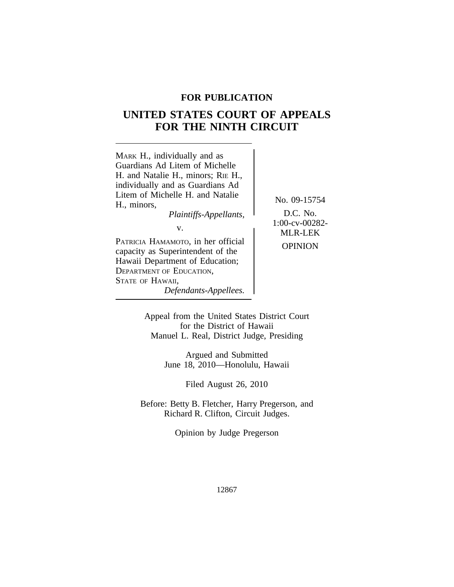## **FOR PUBLICATION**

# **UNITED STATES COURT OF APPEALS FOR THE NINTH CIRCUIT**



Appeal from the United States District Court for the District of Hawaii Manuel L. Real, District Judge, Presiding

> Argued and Submitted June 18, 2010—Honolulu, Hawaii

> > Filed August 26, 2010

Before: Betty B. Fletcher, Harry Pregerson, and Richard R. Clifton, Circuit Judges.

Opinion by Judge Pregerson

12867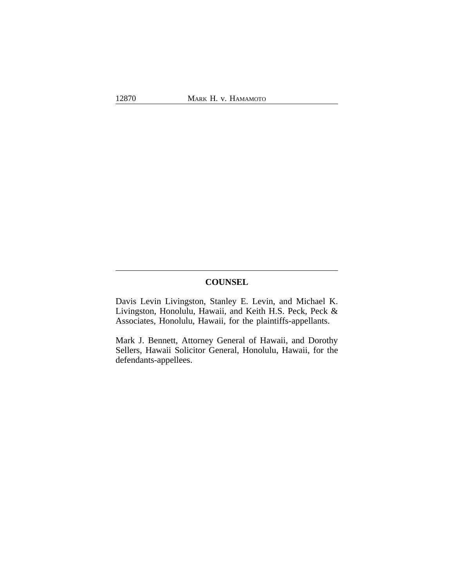## **COUNSEL**

Davis Levin Livingston, Stanley E. Levin, and Michael K. Livingston, Honolulu, Hawaii, and Keith H.S. Peck, Peck & Associates, Honolulu, Hawaii, for the plaintiffs-appellants.

Mark J. Bennett, Attorney General of Hawaii, and Dorothy Sellers, Hawaii Solicitor General, Honolulu, Hawaii, for the defendants-appellees.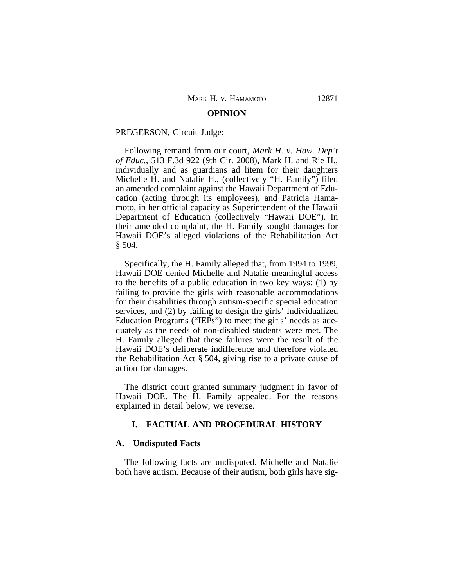#### **OPINION**

#### PREGERSON, Circuit Judge:

Following remand from our court, *Mark H. v. Haw. Dep't of Educ.*, 513 F.3d 922 (9th Cir. 2008), Mark H. and Rie H., individually and as guardians ad litem for their daughters Michelle H. and Natalie H., (collectively "H. Family") filed an amended complaint against the Hawaii Department of Education (acting through its employees), and Patricia Hamamoto, in her official capacity as Superintendent of the Hawaii Department of Education (collectively "Hawaii DOE"). In their amended complaint, the H. Family sought damages for Hawaii DOE's alleged violations of the Rehabilitation Act § 504.

Specifically, the H. Family alleged that, from 1994 to 1999, Hawaii DOE denied Michelle and Natalie meaningful access to the benefits of a public education in two key ways: (1) by failing to provide the girls with reasonable accommodations for their disabilities through autism-specific special education services, and (2) by failing to design the girls' Individualized Education Programs ("IEPs") to meet the girls' needs as adequately as the needs of non-disabled students were met. The H. Family alleged that these failures were the result of the Hawaii DOE's deliberate indifference and therefore violated the Rehabilitation Act § 504, giving rise to a private cause of action for damages.

The district court granted summary judgment in favor of Hawaii DOE. The H. Family appealed. For the reasons explained in detail below, we reverse.

### **I. FACTUAL AND PROCEDURAL HISTORY**

#### **A. Undisputed Facts**

The following facts are undisputed. Michelle and Natalie both have autism. Because of their autism, both girls have sig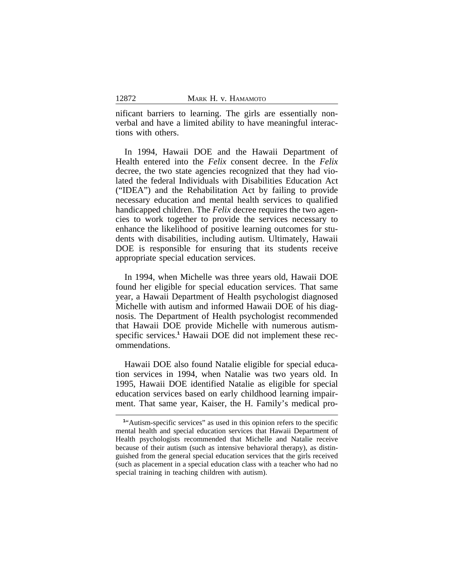nificant barriers to learning. The girls are essentially nonverbal and have a limited ability to have meaningful interactions with others.

In 1994, Hawaii DOE and the Hawaii Department of Health entered into the *Felix* consent decree. In the *Felix* decree, the two state agencies recognized that they had violated the federal Individuals with Disabilities Education Act ("IDEA") and the Rehabilitation Act by failing to provide necessary education and mental health services to qualified handicapped children. The *Felix* decree requires the two agencies to work together to provide the services necessary to enhance the likelihood of positive learning outcomes for students with disabilities, including autism. Ultimately, Hawaii DOE is responsible for ensuring that its students receive appropriate special education services.

In 1994, when Michelle was three years old, Hawaii DOE found her eligible for special education services. That same year, a Hawaii Department of Health psychologist diagnosed Michelle with autism and informed Hawaii DOE of his diagnosis. The Department of Health psychologist recommended that Hawaii DOE provide Michelle with numerous autismspecific services.<sup>1</sup> Hawaii DOE did not implement these recommendations.

Hawaii DOE also found Natalie eligible for special education services in 1994, when Natalie was two years old. In 1995, Hawaii DOE identified Natalie as eligible for special education services based on early childhood learning impairment. That same year, Kaiser, the H. Family's medical pro-

<sup>&</sup>lt;sup>1</sup><sup>"</sup>Autism-specific services" as used in this opinion refers to the specific mental health and special education services that Hawaii Department of Health psychologists recommended that Michelle and Natalie receive because of their autism (such as intensive behavioral therapy), as distinguished from the general special education services that the girls received (such as placement in a special education class with a teacher who had no special training in teaching children with autism).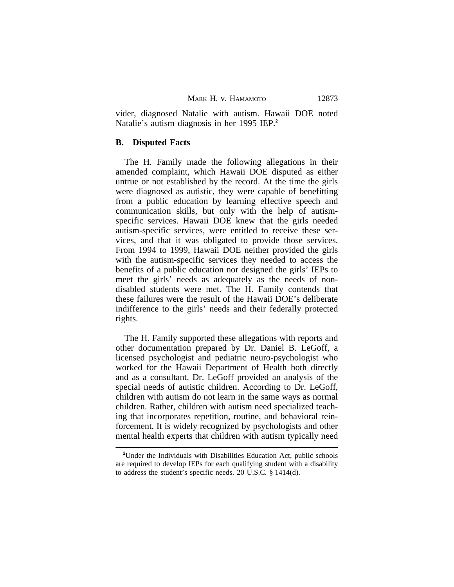vider, diagnosed Natalie with autism. Hawaii DOE noted Natalie's autism diagnosis in her 1995 IEP.**<sup>2</sup>**

## **B. Disputed Facts**

The H. Family made the following allegations in their amended complaint, which Hawaii DOE disputed as either untrue or not established by the record. At the time the girls were diagnosed as autistic, they were capable of benefitting from a public education by learning effective speech and communication skills, but only with the help of autismspecific services. Hawaii DOE knew that the girls needed autism-specific services, were entitled to receive these services, and that it was obligated to provide those services. From 1994 to 1999, Hawaii DOE neither provided the girls with the autism-specific services they needed to access the benefits of a public education nor designed the girls' IEPs to meet the girls' needs as adequately as the needs of nondisabled students were met. The H. Family contends that these failures were the result of the Hawaii DOE's deliberate indifference to the girls' needs and their federally protected rights.

The H. Family supported these allegations with reports and other documentation prepared by Dr. Daniel B. LeGoff, a licensed psychologist and pediatric neuro-psychologist who worked for the Hawaii Department of Health both directly and as a consultant. Dr. LeGoff provided an analysis of the special needs of autistic children. According to Dr. LeGoff, children with autism do not learn in the same ways as normal children. Rather, children with autism need specialized teaching that incorporates repetition, routine, and behavioral reinforcement. It is widely recognized by psychologists and other mental health experts that children with autism typically need

**<sup>2</sup>**Under the Individuals with Disabilities Education Act, public schools are required to develop IEPs for each qualifying student with a disability to address the student's specific needs. 20 U.S.C. § 1414(d).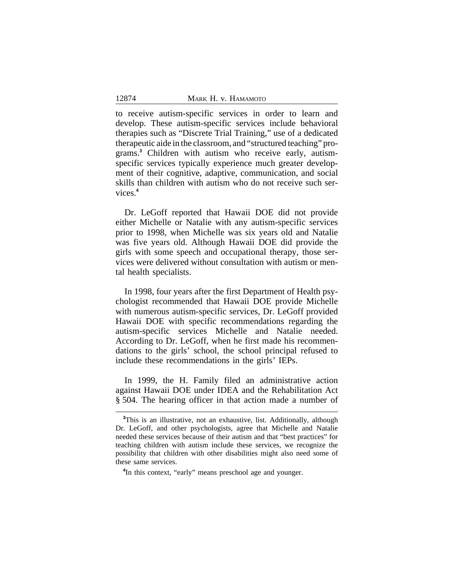to receive autism-specific services in order to learn and develop. These autism-specific services include behavioral therapies such as "Discrete Trial Training," use of a dedicated therapeutic aide in the classroom, and "structured teaching" programs.**<sup>3</sup>** Children with autism who receive early, autismspecific services typically experience much greater development of their cognitive, adaptive, communication, and social skills than children with autism who do not receive such services.**<sup>4</sup>**

Dr. LeGoff reported that Hawaii DOE did not provide either Michelle or Natalie with any autism-specific services prior to 1998, when Michelle was six years old and Natalie was five years old. Although Hawaii DOE did provide the girls with some speech and occupational therapy, those services were delivered without consultation with autism or mental health specialists.

In 1998, four years after the first Department of Health psychologist recommended that Hawaii DOE provide Michelle with numerous autism-specific services, Dr. LeGoff provided Hawaii DOE with specific recommendations regarding the autism-specific services Michelle and Natalie needed. According to Dr. LeGoff, when he first made his recommendations to the girls' school, the school principal refused to include these recommendations in the girls' IEPs.

In 1999, the H. Family filed an administrative action against Hawaii DOE under IDEA and the Rehabilitation Act § 504. The hearing officer in that action made a number of

<sup>&</sup>lt;sup>3</sup>This is an illustrative, not an exhaustive, list. Additionally, although Dr. LeGoff, and other psychologists, agree that Michelle and Natalie needed these services because of their autism and that "best practices" for teaching children with autism include these services, we recognize the possibility that children with other disabilities might also need some of these same services.

**<sup>4</sup>** In this context, "early" means preschool age and younger.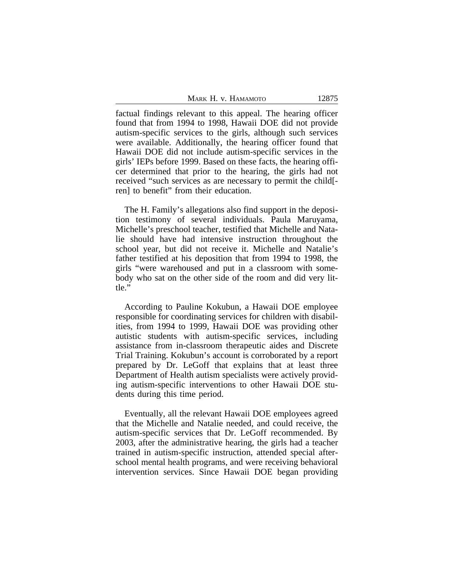factual findings relevant to this appeal. The hearing officer found that from 1994 to 1998, Hawaii DOE did not provide autism-specific services to the girls, although such services were available. Additionally, the hearing officer found that Hawaii DOE did not include autism-specific services in the girls' IEPs before 1999. Based on these facts, the hearing officer determined that prior to the hearing, the girls had not received "such services as are necessary to permit the child[ ren] to benefit" from their education.

The H. Family's allegations also find support in the deposition testimony of several individuals. Paula Maruyama, Michelle's preschool teacher, testified that Michelle and Natalie should have had intensive instruction throughout the school year, but did not receive it. Michelle and Natalie's father testified at his deposition that from 1994 to 1998, the girls "were warehoused and put in a classroom with somebody who sat on the other side of the room and did very little."

According to Pauline Kokubun, a Hawaii DOE employee responsible for coordinating services for children with disabilities, from 1994 to 1999, Hawaii DOE was providing other autistic students with autism-specific services, including assistance from in-classroom therapeutic aides and Discrete Trial Training. Kokubun's account is corroborated by a report prepared by Dr. LeGoff that explains that at least three Department of Health autism specialists were actively providing autism-specific interventions to other Hawaii DOE students during this time period.

Eventually, all the relevant Hawaii DOE employees agreed that the Michelle and Natalie needed, and could receive, the autism-specific services that Dr. LeGoff recommended. By 2003, after the administrative hearing, the girls had a teacher trained in autism-specific instruction, attended special afterschool mental health programs, and were receiving behavioral intervention services. Since Hawaii DOE began providing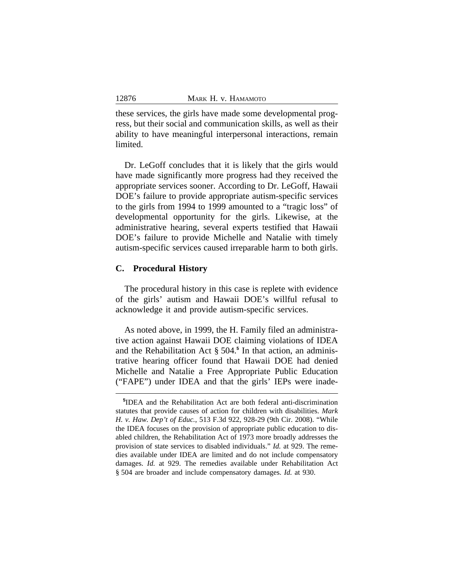these services, the girls have made some developmental progress, but their social and communication skills, as well as their ability to have meaningful interpersonal interactions, remain limited.

Dr. LeGoff concludes that it is likely that the girls would have made significantly more progress had they received the appropriate services sooner. According to Dr. LeGoff, Hawaii DOE's failure to provide appropriate autism-specific services to the girls from 1994 to 1999 amounted to a "tragic loss" of developmental opportunity for the girls. Likewise, at the administrative hearing, several experts testified that Hawaii DOE's failure to provide Michelle and Natalie with timely autism-specific services caused irreparable harm to both girls.

## **C. Procedural History**

The procedural history in this case is replete with evidence of the girls' autism and Hawaii DOE's willful refusal to acknowledge it and provide autism-specific services.

As noted above, in 1999, the H. Family filed an administrative action against Hawaii DOE claiming violations of IDEA and the Rehabilitation Act § 504.**<sup>5</sup>** In that action, an administrative hearing officer found that Hawaii DOE had denied Michelle and Natalie a Free Appropriate Public Education ("FAPE") under IDEA and that the girls' IEPs were inade-

**<sup>5</sup>** IDEA and the Rehabilitation Act are both federal anti-discrimination statutes that provide causes of action for children with disabilities. *Mark H. v. Haw. Dep't of Educ.*, 513 F.3d 922, 928-29 (9th Cir. 2008). "While the IDEA focuses on the provision of appropriate public education to disabled children, the Rehabilitation Act of 1973 more broadly addresses the provision of state services to disabled individuals." *Id.* at 929. The remedies available under IDEA are limited and do not include compensatory damages. *Id.* at 929. The remedies available under Rehabilitation Act § 504 are broader and include compensatory damages. *Id.* at 930.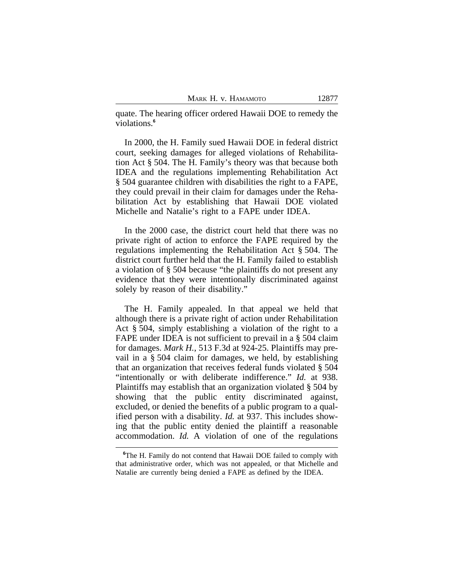quate. The hearing officer ordered Hawaii DOE to remedy the violations.**<sup>6</sup>**

In 2000, the H. Family sued Hawaii DOE in federal district court, seeking damages for alleged violations of Rehabilitation Act § 504. The H. Family's theory was that because both IDEA and the regulations implementing Rehabilitation Act § 504 guarantee children with disabilities the right to a FAPE, they could prevail in their claim for damages under the Rehabilitation Act by establishing that Hawaii DOE violated Michelle and Natalie's right to a FAPE under IDEA.

In the 2000 case, the district court held that there was no private right of action to enforce the FAPE required by the regulations implementing the Rehabilitation Act § 504. The district court further held that the H. Family failed to establish a violation of § 504 because "the plaintiffs do not present any evidence that they were intentionally discriminated against solely by reason of their disability."

The H. Family appealed. In that appeal we held that although there is a private right of action under Rehabilitation Act § 504, simply establishing a violation of the right to a FAPE under IDEA is not sufficient to prevail in a § 504 claim for damages. *Mark H.*, 513 F.3d at 924-25. Plaintiffs may prevail in a § 504 claim for damages, we held, by establishing that an organization that receives federal funds violated § 504 "intentionally or with deliberate indifference." *Id.* at 938. Plaintiffs may establish that an organization violated § 504 by showing that the public entity discriminated against, excluded, or denied the benefits of a public program to a qualified person with a disability. *Id.* at 937. This includes showing that the public entity denied the plaintiff a reasonable accommodation. *Id.* A violation of one of the regulations

**<sup>6</sup>**The H. Family do not contend that Hawaii DOE failed to comply with that administrative order, which was not appealed, or that Michelle and Natalie are currently being denied a FAPE as defined by the IDEA.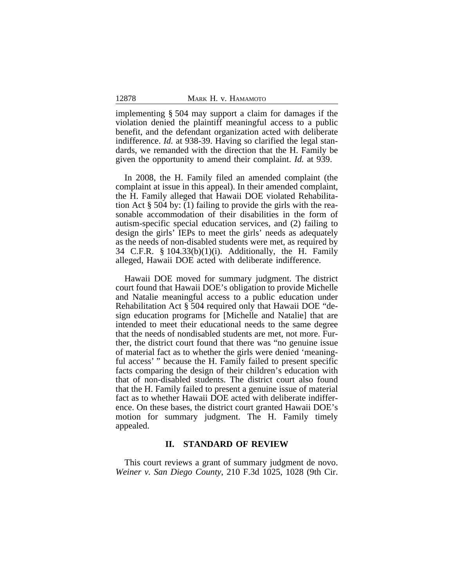implementing § 504 may support a claim for damages if the violation denied the plaintiff meaningful access to a public benefit, and the defendant organization acted with deliberate indifference. *Id.* at 938-39. Having so clarified the legal standards, we remanded with the direction that the H. Family be given the opportunity to amend their complaint. *Id.* at 939.

In 2008, the H. Family filed an amended complaint (the complaint at issue in this appeal). In their amended complaint, the H. Family alleged that Hawaii DOE violated Rehabilitation Act § 504 by: (1) failing to provide the girls with the reasonable accommodation of their disabilities in the form of autism-specific special education services, and (2) failing to design the girls' IEPs to meet the girls' needs as adequately as the needs of non-disabled students were met, as required by 34 C.F.R. § 104.33(b)(1)(i). Additionally, the H. Family alleged, Hawaii DOE acted with deliberate indifference.

Hawaii DOE moved for summary judgment. The district court found that Hawaii DOE's obligation to provide Michelle and Natalie meaningful access to a public education under Rehabilitation Act § 504 required only that Hawaii DOE "design education programs for [Michelle and Natalie] that are intended to meet their educational needs to the same degree that the needs of nondisabled students are met, not more. Further, the district court found that there was "no genuine issue of material fact as to whether the girls were denied 'meaningful access' " because the H. Family failed to present specific facts comparing the design of their children's education with that of non-disabled students. The district court also found that the H. Family failed to present a genuine issue of material fact as to whether Hawaii DOE acted with deliberate indifference. On these bases, the district court granted Hawaii DOE's motion for summary judgment. The H. Family timely appealed.

### **II. STANDARD OF REVIEW**

This court reviews a grant of summary judgment de novo. *Weiner v. San Diego County*, 210 F.3d 1025, 1028 (9th Cir.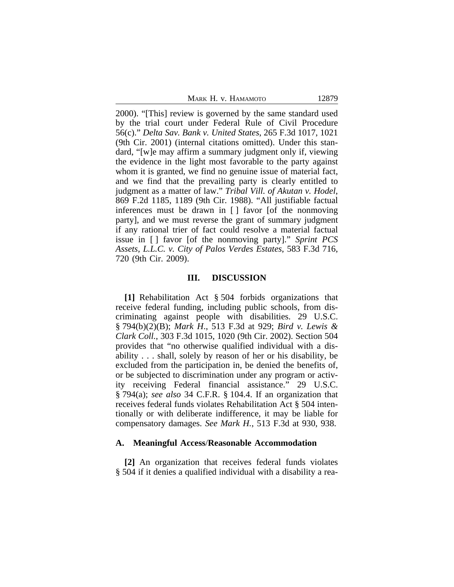|  |  |  | MARK H. V. HAMAMOTO |
|--|--|--|---------------------|
|--|--|--|---------------------|

2000). "[This] review is governed by the same standard used by the trial court under Federal Rule of Civil Procedure 56(c)." *Delta Sav. Bank v. United States*, 265 F.3d 1017, 1021 (9th Cir. 2001) (internal citations omitted). Under this standard, "[w]e may affirm a summary judgment only if, viewing the evidence in the light most favorable to the party against whom it is granted, we find no genuine issue of material fact, and we find that the prevailing party is clearly entitled to judgment as a matter of law." *Tribal Vill. of Akutan v. Hodel*, 869 F.2d 1185, 1189 (9th Cir. 1988). "All justifiable factual inferences must be drawn in [ ] favor [of the nonmoving party], and we must reverse the grant of summary judgment if any rational trier of fact could resolve a material factual issue in [ ] favor [of the nonmoving party]." *Sprint PCS Assets, L.L.C. v. City of Palos Verdes Estates*, 583 F.3d 716, 720 (9th Cir. 2009).

#### **III. DISCUSSION**

**[1]** Rehabilitation Act § 504 forbids organizations that receive federal funding, including public schools, from discriminating against people with disabilities. 29 U.S.C. § 794(b)(2)(B); *Mark H*., 513 F.3d at 929; *Bird v. Lewis & Clark Coll.*, 303 F.3d 1015, 1020 (9th Cir. 2002). Section 504 provides that "no otherwise qualified individual with a disability . . . shall, solely by reason of her or his disability, be excluded from the participation in, be denied the benefits of, or be subjected to discrimination under any program or activity receiving Federal financial assistance." 29 U.S.C. § 794(a); *see also* 34 C.F.R. § 104.4. If an organization that receives federal funds violates Rehabilitation Act § 504 intentionally or with deliberate indifference, it may be liable for compensatory damages. *See Mark H.*, 513 F.3d at 930, 938.

#### **A. Meaningful Access**/**Reasonable Accommodation**

**[2]** An organization that receives federal funds violates § 504 if it denies a qualified individual with a disability a rea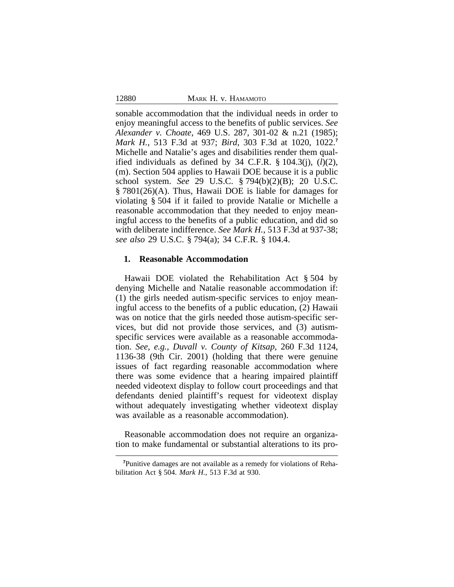sonable accommodation that the individual needs in order to enjoy meaningful access to the benefits of public services. *See Alexander v. Choate*, 469 U.S. 287, 301-02 & n.21 (1985); *Mark H.*, 513 F.3d at 937; *Bird*, 303 F.3d at 1020, 1022.**<sup>7</sup>** Michelle and Natalie's ages and disabilities render them qualified individuals as defined by 34 C.F.R. § 104.3(j), (*l*)(2), (m). Section 504 applies to Hawaii DOE because it is a public school system. *See* 29 U.S.C. § 794(b)(2)(B); 20 U.S.C. § 7801(26)(A). Thus, Hawaii DOE is liable for damages for violating § 504 if it failed to provide Natalie or Michelle a reasonable accommodation that they needed to enjoy meaningful access to the benefits of a public education, and did so with deliberate indifference. *See Mark H.*, 513 F.3d at 937-38; *see also* 29 U.S.C. § 794(a); 34 C.F.R. § 104.4.

### **1. Reasonable Accommodation**

Hawaii DOE violated the Rehabilitation Act § 504 by denying Michelle and Natalie reasonable accommodation if: (1) the girls needed autism-specific services to enjoy meaningful access to the benefits of a public education, (2) Hawaii was on notice that the girls needed those autism-specific services, but did not provide those services, and (3) autismspecific services were available as a reasonable accommodation. *See, e.g.*, *Duvall v. County of Kitsap*, 260 F.3d 1124, 1136-38 (9th Cir. 2001) (holding that there were genuine issues of fact regarding reasonable accommodation where there was some evidence that a hearing impaired plaintiff needed videotext display to follow court proceedings and that defendants denied plaintiff's request for videotext display without adequately investigating whether videotext display was available as a reasonable accommodation).

Reasonable accommodation does not require an organization to make fundamental or substantial alterations to its pro-

**<sup>7</sup>**Punitive damages are not available as a remedy for violations of Rehabilitation Act § 504. *Mark H.*, 513 F.3d at 930.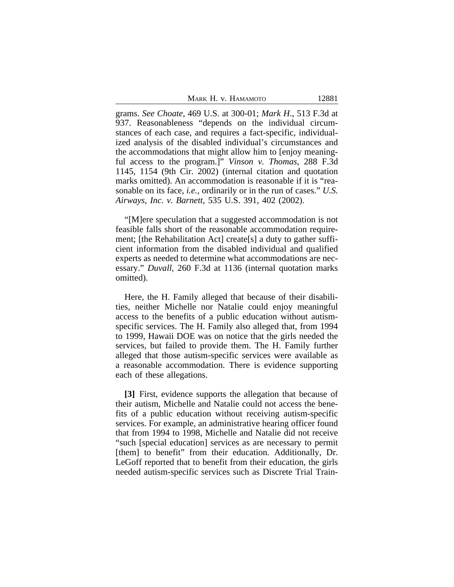|  |  |  |  | Маrk Н. v. Намамото |
|--|--|--|--|---------------------|
|--|--|--|--|---------------------|

grams. *See Choate*, 469 U.S. at 300-01; *Mark H*., 513 F.3d at 937. Reasonableness "depends on the individual circumstances of each case, and requires a fact-specific, individualized analysis of the disabled individual's circumstances and the accommodations that might allow him to [enjoy meaningful access to the program.]" *Vinson v. Thomas*, 288 F.3d 1145, 1154 (9th Cir. 2002) (internal citation and quotation marks omitted). An accommodation is reasonable if it is "reasonable on its face, *i.e.*, ordinarily or in the run of cases." *U.S. Airways, Inc. v. Barnett*, 535 U.S. 391, 402 (2002).

"[M]ere speculation that a suggested accommodation is not feasible falls short of the reasonable accommodation requirement; [the Rehabilitation Act] create[s] a duty to gather sufficient information from the disabled individual and qualified experts as needed to determine what accommodations are necessary." *Duvall,* 260 F.3d at 1136 (internal quotation marks omitted).

Here, the H. Family alleged that because of their disabilities, neither Michelle nor Natalie could enjoy meaningful access to the benefits of a public education without autismspecific services. The H. Family also alleged that, from 1994 to 1999, Hawaii DOE was on notice that the girls needed the services, but failed to provide them. The H. Family further alleged that those autism-specific services were available as a reasonable accommodation. There is evidence supporting each of these allegations.

**[3]** First, evidence supports the allegation that because of their autism, Michelle and Natalie could not access the benefits of a public education without receiving autism-specific services. For example, an administrative hearing officer found that from 1994 to 1998, Michelle and Natalie did not receive "such [special education] services as are necessary to permit [them] to benefit" from their education. Additionally, Dr. LeGoff reported that to benefit from their education, the girls needed autism-specific services such as Discrete Trial Train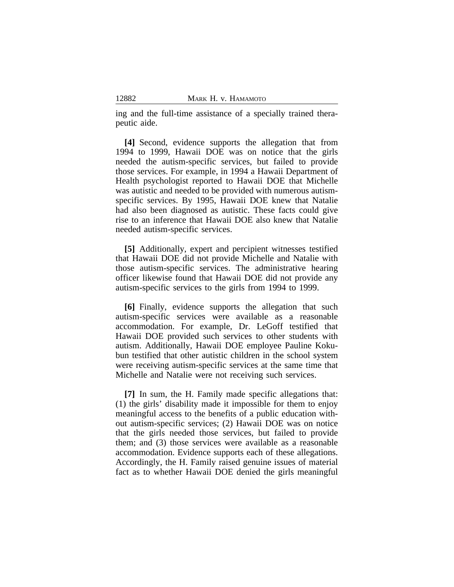ing and the full-time assistance of a specially trained therapeutic aide.

**[4]** Second, evidence supports the allegation that from 1994 to 1999, Hawaii DOE was on notice that the girls needed the autism-specific services, but failed to provide those services. For example, in 1994 a Hawaii Department of Health psychologist reported to Hawaii DOE that Michelle was autistic and needed to be provided with numerous autismspecific services. By 1995, Hawaii DOE knew that Natalie had also been diagnosed as autistic. These facts could give rise to an inference that Hawaii DOE also knew that Natalie needed autism-specific services.

**[5]** Additionally, expert and percipient witnesses testified that Hawaii DOE did not provide Michelle and Natalie with those autism-specific services. The administrative hearing officer likewise found that Hawaii DOE did not provide any autism-specific services to the girls from 1994 to 1999.

**[6]** Finally, evidence supports the allegation that such autism-specific services were available as a reasonable accommodation. For example, Dr. LeGoff testified that Hawaii DOE provided such services to other students with autism. Additionally, Hawaii DOE employee Pauline Kokubun testified that other autistic children in the school system were receiving autism-specific services at the same time that Michelle and Natalie were not receiving such services.

**[7]** In sum, the H. Family made specific allegations that: (1) the girls' disability made it impossible for them to enjoy meaningful access to the benefits of a public education without autism-specific services; (2) Hawaii DOE was on notice that the girls needed those services, but failed to provide them; and (3) those services were available as a reasonable accommodation. Evidence supports each of these allegations. Accordingly, the H. Family raised genuine issues of material fact as to whether Hawaii DOE denied the girls meaningful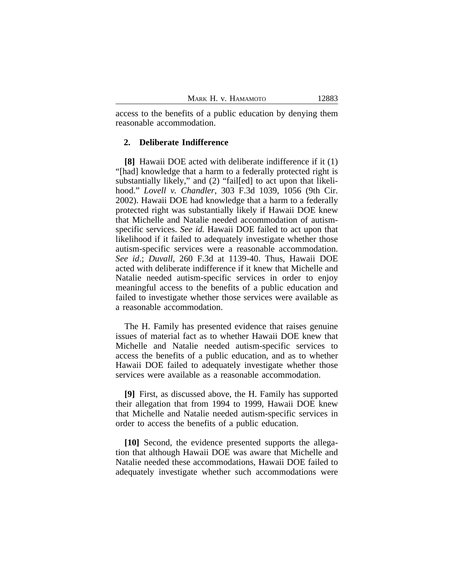access to the benefits of a public education by denying them reasonable accommodation.

## **2. Deliberate Indifference**

**[8]** Hawaii DOE acted with deliberate indifference if it (1) "[had] knowledge that a harm to a federally protected right is substantially likely," and (2) "fail[ed] to act upon that likelihood." *Lovell v. Chandler*, 303 F.3d 1039, 1056 (9th Cir. 2002). Hawaii DOE had knowledge that a harm to a federally protected right was substantially likely if Hawaii DOE knew that Michelle and Natalie needed accommodation of autismspecific services. *See id.* Hawaii DOE failed to act upon that likelihood if it failed to adequately investigate whether those autism-specific services were a reasonable accommodation. *See id*.; *Duvall*, 260 F.3d at 1139-40. Thus, Hawaii DOE acted with deliberate indifference if it knew that Michelle and Natalie needed autism-specific services in order to enjoy meaningful access to the benefits of a public education and failed to investigate whether those services were available as a reasonable accommodation.

The H. Family has presented evidence that raises genuine issues of material fact as to whether Hawaii DOE knew that Michelle and Natalie needed autism-specific services to access the benefits of a public education, and as to whether Hawaii DOE failed to adequately investigate whether those services were available as a reasonable accommodation.

**[9]** First, as discussed above, the H. Family has supported their allegation that from 1994 to 1999, Hawaii DOE knew that Michelle and Natalie needed autism-specific services in order to access the benefits of a public education.

**[10]** Second, the evidence presented supports the allegation that although Hawaii DOE was aware that Michelle and Natalie needed these accommodations, Hawaii DOE failed to adequately investigate whether such accommodations were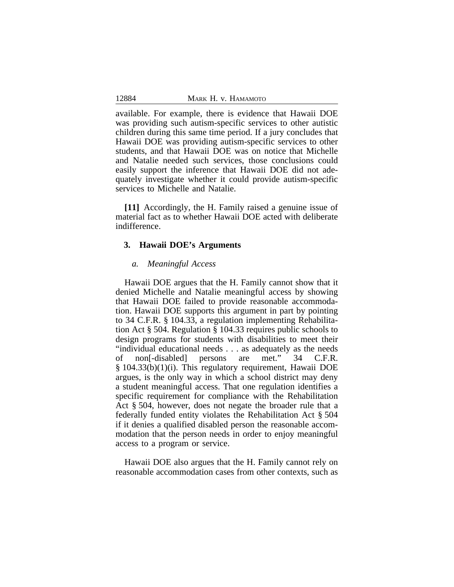available. For example, there is evidence that Hawaii DOE was providing such autism-specific services to other autistic children during this same time period. If a jury concludes that Hawaii DOE was providing autism-specific services to other students, and that Hawaii DOE was on notice that Michelle and Natalie needed such services, those conclusions could easily support the inference that Hawaii DOE did not adequately investigate whether it could provide autism-specific services to Michelle and Natalie.

**[11]** Accordingly, the H. Family raised a genuine issue of material fact as to whether Hawaii DOE acted with deliberate indifference.

## **3. Hawaii DOE's Arguments**

## *a. Meaningful Access*

Hawaii DOE argues that the H. Family cannot show that it denied Michelle and Natalie meaningful access by showing that Hawaii DOE failed to provide reasonable accommodation. Hawaii DOE supports this argument in part by pointing to 34 C.F.R. § 104.33, a regulation implementing Rehabilitation Act § 504. Regulation § 104.33 requires public schools to design programs for students with disabilities to meet their "individual educational needs . . . as adequately as the needs<br>of non-disabled persons are met." 34 C.F.R. of non[-disabled] persons are met." 34 C.F.R. § 104.33(b)(1)(i). This regulatory requirement, Hawaii DOE argues, is the only way in which a school district may deny a student meaningful access. That one regulation identifies a specific requirement for compliance with the Rehabilitation Act § 504, however, does not negate the broader rule that a federally funded entity violates the Rehabilitation Act § 504 if it denies a qualified disabled person the reasonable accommodation that the person needs in order to enjoy meaningful access to a program or service.

Hawaii DOE also argues that the H. Family cannot rely on reasonable accommodation cases from other contexts, such as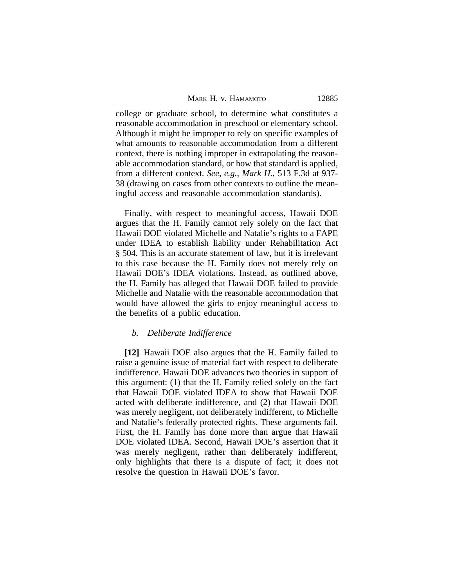|  |  |  | MARK H. V. HAMAMOTO |  |
|--|--|--|---------------------|--|
|--|--|--|---------------------|--|

12885

college or graduate school, to determine what constitutes a reasonable accommodation in preschool or elementary school. Although it might be improper to rely on specific examples of what amounts to reasonable accommodation from a different context, there is nothing improper in extrapolating the reasonable accommodation standard, or how that standard is applied, from a different context. *See, e.g.*, *Mark H.*, 513 F.3d at 937- 38 (drawing on cases from other contexts to outline the meaningful access and reasonable accommodation standards).

Finally, with respect to meaningful access, Hawaii DOE argues that the H. Family cannot rely solely on the fact that Hawaii DOE violated Michelle and Natalie's rights to a FAPE under IDEA to establish liability under Rehabilitation Act § 504. This is an accurate statement of law, but it is irrelevant to this case because the H. Family does not merely rely on Hawaii DOE's IDEA violations. Instead, as outlined above, the H. Family has alleged that Hawaii DOE failed to provide Michelle and Natalie with the reasonable accommodation that would have allowed the girls to enjoy meaningful access to the benefits of a public education.

### *b. Deliberate Indifference*

**[12]** Hawaii DOE also argues that the H. Family failed to raise a genuine issue of material fact with respect to deliberate indifference. Hawaii DOE advances two theories in support of this argument: (1) that the H. Family relied solely on the fact that Hawaii DOE violated IDEA to show that Hawaii DOE acted with deliberate indifference, and (2) that Hawaii DOE was merely negligent, not deliberately indifferent, to Michelle and Natalie's federally protected rights. These arguments fail. First, the H. Family has done more than argue that Hawaii DOE violated IDEA. Second, Hawaii DOE's assertion that it was merely negligent, rather than deliberately indifferent, only highlights that there is a dispute of fact; it does not resolve the question in Hawaii DOE's favor.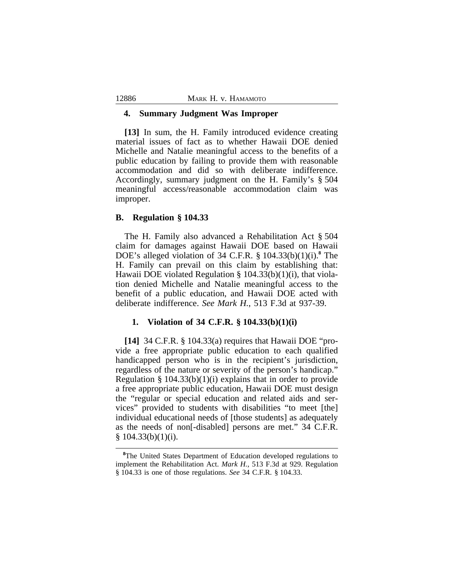#### **4. Summary Judgment Was Improper**

**[13]** In sum, the H. Family introduced evidence creating material issues of fact as to whether Hawaii DOE denied Michelle and Natalie meaningful access to the benefits of a public education by failing to provide them with reasonable accommodation and did so with deliberate indifference. Accordingly, summary judgment on the H. Family's § 504 meaningful access/reasonable accommodation claim was improper.

## **B. Regulation § 104.33**

The H. Family also advanced a Rehabilitation Act § 504 claim for damages against Hawaii DOE based on Hawaii DOE's alleged violation of 34 C.F.R. § 104.33(b)(1)(i).**<sup>8</sup>** The H. Family can prevail on this claim by establishing that: Hawaii DOE violated Regulation § 104.33(b)(1)(i), that violation denied Michelle and Natalie meaningful access to the benefit of a public education, and Hawaii DOE acted with deliberate indifference. *See Mark H.*, 513 F.3d at 937-39.

### **1. Violation of 34 C.F.R. § 104.33(b)(1)(i)**

**[14]** 34 C.F.R. § 104.33(a) requires that Hawaii DOE "provide a free appropriate public education to each qualified handicapped person who is in the recipient's jurisdiction, regardless of the nature or severity of the person's handicap." Regulation §  $104.33(b)(1)(i)$  explains that in order to provide a free appropriate public education, Hawaii DOE must design the "regular or special education and related aids and services" provided to students with disabilities "to meet [the] individual educational needs of [those students] as adequately as the needs of non[-disabled] persons are met." 34 C.F.R.  $§ 104.33(b)(1)(i).$ 

<sup>&</sup>lt;sup>8</sup>The United States Department of Education developed regulations to implement the Rehabilitation Act. *Mark H.*, 513 F.3d at 929. Regulation § 104.33 is one of those regulations. *See* 34 C.F.R. § 104.33.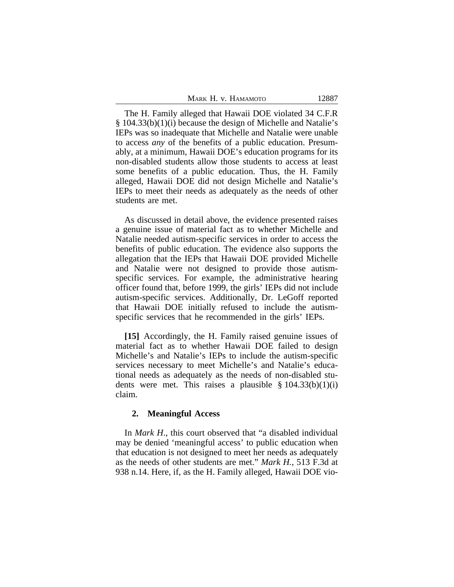| MARK H. V. HAMAMOTO | 12887 |
|---------------------|-------|
|---------------------|-------|

The H. Family alleged that Hawaii DOE violated 34 C.F.R § 104.33(b)(1)(i) because the design of Michelle and Natalie's IEPs was so inadequate that Michelle and Natalie were unable to access *any* of the benefits of a public education. Presumably, at a minimum, Hawaii DOE's education programs for its non-disabled students allow those students to access at least some benefits of a public education. Thus, the H. Family alleged, Hawaii DOE did not design Michelle and Natalie's IEPs to meet their needs as adequately as the needs of other students are met.

As discussed in detail above, the evidence presented raises a genuine issue of material fact as to whether Michelle and Natalie needed autism-specific services in order to access the benefits of public education. The evidence also supports the allegation that the IEPs that Hawaii DOE provided Michelle and Natalie were not designed to provide those autismspecific services. For example, the administrative hearing officer found that, before 1999, the girls' IEPs did not include autism-specific services. Additionally, Dr. LeGoff reported that Hawaii DOE initially refused to include the autismspecific services that he recommended in the girls' IEPs.

**[15]** Accordingly, the H. Family raised genuine issues of material fact as to whether Hawaii DOE failed to design Michelle's and Natalie's IEPs to include the autism-specific services necessary to meet Michelle's and Natalie's educational needs as adequately as the needs of non-disabled students were met. This raises a plausible  $\S 104.33(b)(1)(i)$ claim.

## **2. Meaningful Access**

In *Mark H*., this court observed that "a disabled individual may be denied 'meaningful access' to public education when that education is not designed to meet her needs as adequately as the needs of other students are met." *Mark H.*, 513 F.3d at 938 n.14. Here, if, as the H. Family alleged, Hawaii DOE vio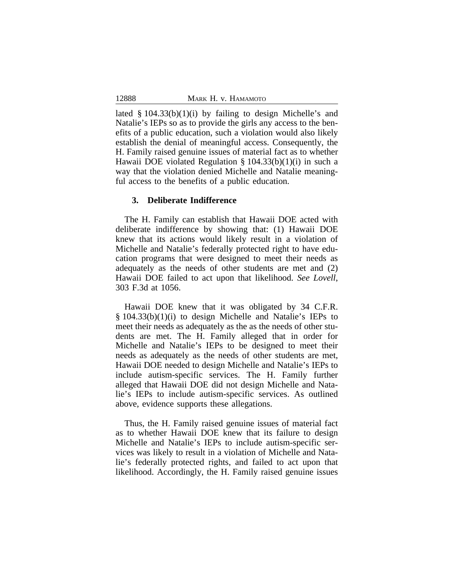lated  $\S$  104.33(b)(1)(i) by failing to design Michelle's and Natalie's IEPs so as to provide the girls any access to the benefits of a public education, such a violation would also likely establish the denial of meaningful access. Consequently, the H. Family raised genuine issues of material fact as to whether Hawaii DOE violated Regulation § 104.33(b)(1)(i) in such a way that the violation denied Michelle and Natalie meaningful access to the benefits of a public education.

## **3. Deliberate Indifference**

The H. Family can establish that Hawaii DOE acted with deliberate indifference by showing that: (1) Hawaii DOE knew that its actions would likely result in a violation of Michelle and Natalie's federally protected right to have education programs that were designed to meet their needs as adequately as the needs of other students are met and (2) Hawaii DOE failed to act upon that likelihood. *See Lovell*, 303 F.3d at 1056.

Hawaii DOE knew that it was obligated by 34 C.F.R. § 104.33(b)(1)(i) to design Michelle and Natalie's IEPs to meet their needs as adequately as the as the needs of other students are met. The H. Family alleged that in order for Michelle and Natalie's IEPs to be designed to meet their needs as adequately as the needs of other students are met, Hawaii DOE needed to design Michelle and Natalie's IEPs to include autism-specific services. The H. Family further alleged that Hawaii DOE did not design Michelle and Natalie's IEPs to include autism-specific services. As outlined above, evidence supports these allegations.

Thus, the H. Family raised genuine issues of material fact as to whether Hawaii DOE knew that its failure to design Michelle and Natalie's IEPs to include autism-specific services was likely to result in a violation of Michelle and Natalie's federally protected rights, and failed to act upon that likelihood. Accordingly, the H. Family raised genuine issues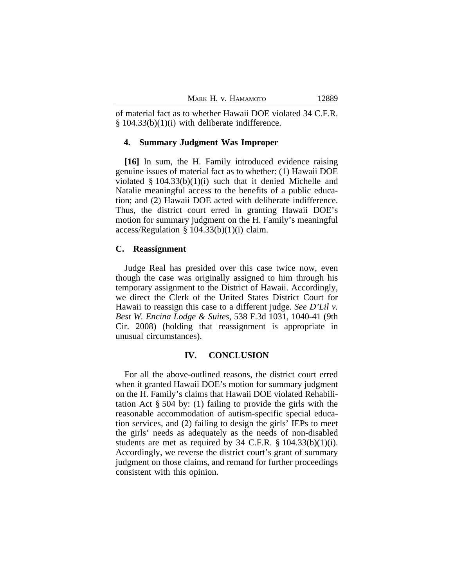of material fact as to whether Hawaii DOE violated 34 C.F.R.  $§$  104.33(b)(1)(i) with deliberate indifference.

#### **4. Summary Judgment Was Improper**

**[16]** In sum, the H. Family introduced evidence raising genuine issues of material fact as to whether: (1) Hawaii DOE violated  $\S$  104.33(b)(1)(i) such that it denied Michelle and Natalie meaningful access to the benefits of a public education; and (2) Hawaii DOE acted with deliberate indifference. Thus, the district court erred in granting Hawaii DOE's motion for summary judgment on the H. Family's meaningful  $access/Regularion \S 104.33(b)(1)(i) claim.$ 

## **C. Reassignment**

Judge Real has presided over this case twice now, even though the case was originally assigned to him through his temporary assignment to the District of Hawaii. Accordingly, we direct the Clerk of the United States District Court for Hawaii to reassign this case to a different judge. *See D'Lil v. Best W. Encina Lodge & Suites*, 538 F.3d 1031, 1040-41 (9th Cir. 2008) (holding that reassignment is appropriate in unusual circumstances).

## **IV. CONCLUSION**

For all the above-outlined reasons, the district court erred when it granted Hawaii DOE's motion for summary judgment on the H. Family's claims that Hawaii DOE violated Rehabilitation Act § 504 by: (1) failing to provide the girls with the reasonable accommodation of autism-specific special education services, and (2) failing to design the girls' IEPs to meet the girls' needs as adequately as the needs of non-disabled students are met as required by  $34$  C.F.R.  $\S$  104.33(b)(1)(i). Accordingly, we reverse the district court's grant of summary judgment on those claims, and remand for further proceedings consistent with this opinion.